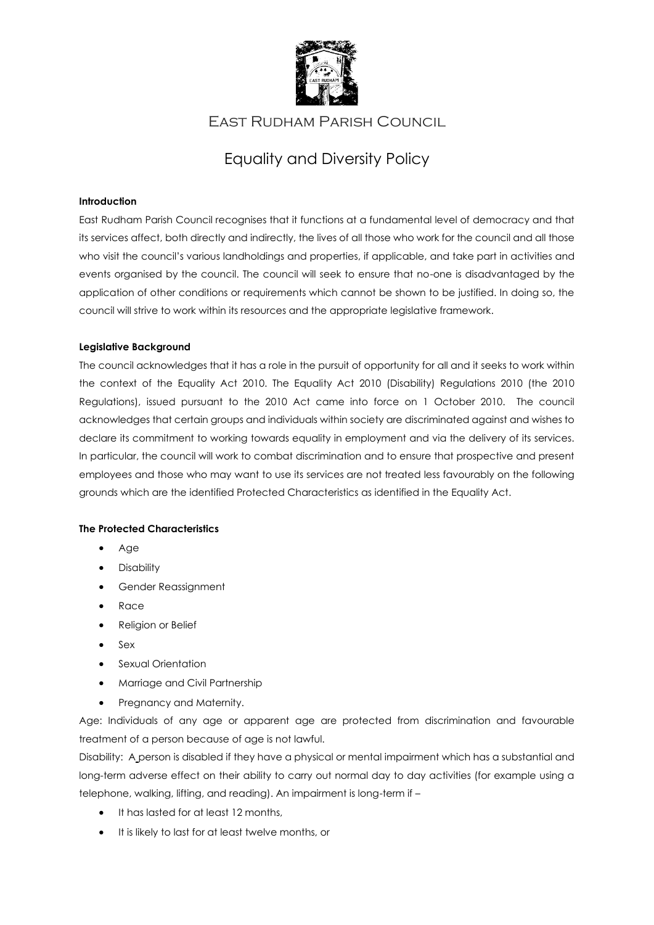

# East Rudham Parish Council

# Equality and Diversity Policy

# **Introduction**

East Rudham Parish Council recognises that it functions at a fundamental level of democracy and that its services affect, both directly and indirectly, the lives of all those who work for the council and all those who visit the council's various landholdings and properties, if applicable, and take part in activities and events organised by the council. The council will seek to ensure that no-one is disadvantaged by the application of other conditions or requirements which cannot be shown to be justified. In doing so, the council will strive to work within its resources and the appropriate legislative framework.

### **Legislative Background**

The council acknowledges that it has a role in the pursuit of opportunity for all and it seeks to work within the context of the Equality Act 2010. The Equality Act 2010 (Disability) Regulations 2010 (the 2010 Regulations), issued pursuant to the 2010 Act came into force on 1 October 2010. The council acknowledges that certain groups and individuals within society are discriminated against and wishes to declare its commitment to working towards equality in employment and via the delivery of its services. In particular, the council will work to combat discrimination and to ensure that prospective and present employees and those who may want to use its services are not treated less favourably on the following grounds which are the identified Protected Characteristics as identified in the Equality Act.

# **The Protected Characteristics**

- Age
- Disability
- Gender Reassignment
- Race
- Religion or Belief
- Sex
- Sexual Orientation
- Marriage and Civil Partnership
- Pregnancy and Maternity.

Age: Individuals of any age or apparent age are protected from discrimination and favourable treatment of a person because of age is not lawful.

Disability: A person is disabled if they have a physical or mental impairment which has a substantial and long-term adverse effect on their ability to carry out normal day to day activities (for example using a telephone, walking, lifting, and reading). An impairment is long-term if –

- It has lasted for at least 12 months,
- It is likely to last for at least twelve months, or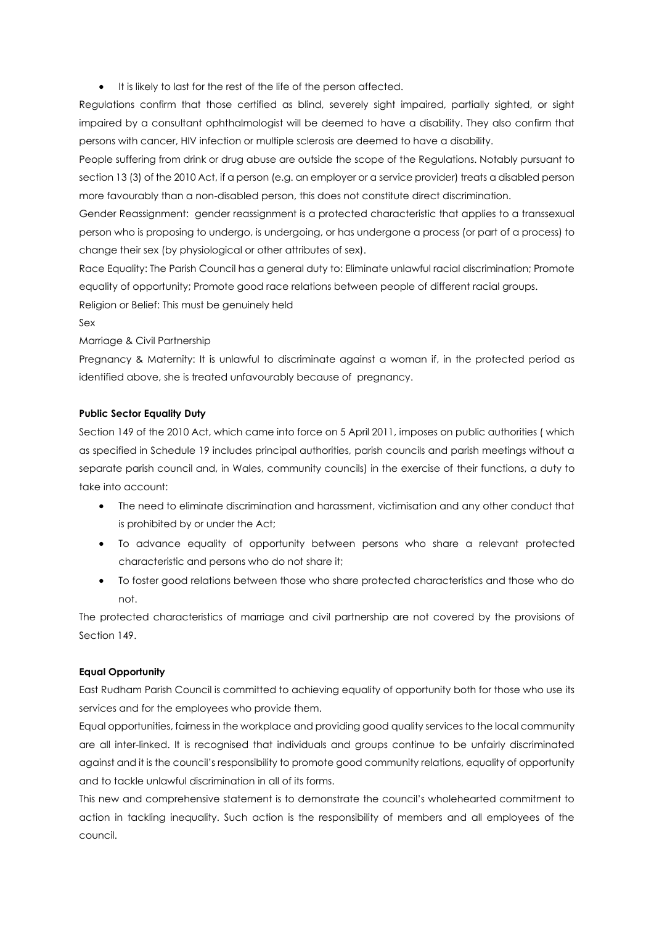• It is likely to last for the rest of the life of the person affected.

Regulations confirm that those certified as blind, severely sight impaired, partially sighted, or sight impaired by a consultant ophthalmologist will be deemed to have a disability. They also confirm that persons with cancer, HIV infection or multiple sclerosis are deemed to have a disability.

People suffering from drink or drug abuse are outside the scope of the Regulations. Notably pursuant to section 13 (3) of the 2010 Act, if a person (e.g. an employer or a service provider) treats a disabled person more favourably than a non-disabled person, this does not constitute direct discrimination.

Gender Reassignment: gender reassignment is a protected characteristic that applies to a transsexual person who is proposing to undergo, is undergoing, or has undergone a process (or part of a process) to change their sex (by physiological or other attributes of sex).

Race Equality: The Parish Council has a general duty to: Eliminate unlawful racial discrimination; Promote equality of opportunity; Promote good race relations between people of different racial groups. Religion or Belief: This must be genuinely held

Sex

Marriage & Civil Partnership

Pregnancy & Maternity: It is unlawful to discriminate against a woman if, in the protected period as identified above, she is treated unfavourably because of pregnancy.

# **Public Sector Equality Duty**

Section 149 of the 2010 Act, which came into force on 5 April 2011, imposes on public authorities ( which as specified in Schedule 19 includes principal authorities, parish councils and parish meetings without a separate parish council and, in Wales, community councils) in the exercise of their functions, a duty to take into account:

- The need to eliminate discrimination and harassment, victimisation and any other conduct that is prohibited by or under the Act;
- To advance equality of opportunity between persons who share a relevant protected characteristic and persons who do not share it;
- To foster good relations between those who share protected characteristics and those who do not.

The protected characteristics of marriage and civil partnership are not covered by the provisions of Section 149.

# **Equal Opportunity**

East Rudham Parish Council is committed to achieving equality of opportunity both for those who use its services and for the employees who provide them.

Equal opportunities, fairness in the workplace and providing good quality services to the local community are all inter-linked. It is recognised that individuals and groups continue to be unfairly discriminated against and it is the council's responsibility to promote good community relations, equality of opportunity and to tackle unlawful discrimination in all of its forms.

This new and comprehensive statement is to demonstrate the council's wholehearted commitment to action in tackling inequality. Such action is the responsibility of members and all employees of the council.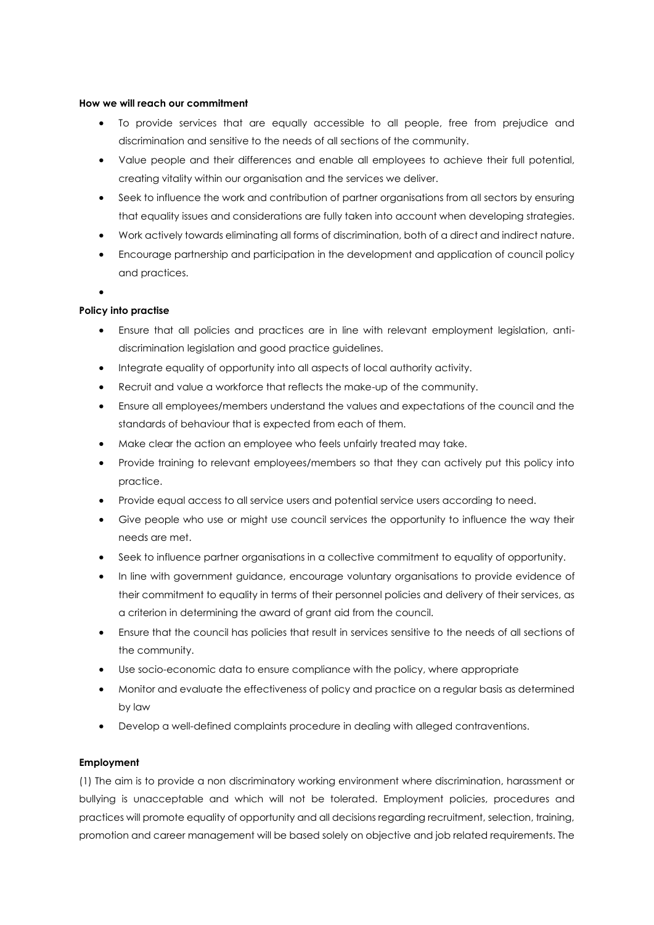#### **How we will reach our commitment**

- To provide services that are equally accessible to all people, free from prejudice and discrimination and sensitive to the needs of all sections of the community.
- Value people and their differences and enable all employees to achieve their full potential, creating vitality within our organisation and the services we deliver.
- Seek to influence the work and contribution of partner organisations from all sectors by ensuring that equality issues and considerations are fully taken into account when developing strategies.
- Work actively towards eliminating all forms of discrimination, both of a direct and indirect nature.
- Encourage partnership and participation in the development and application of council policy and practices.
- •

#### **Policy into practise**

- Ensure that all policies and practices are in line with relevant employment legislation, antidiscrimination legislation and good practice guidelines.
- Integrate equality of opportunity into all aspects of local authority activity.
- Recruit and value a workforce that reflects the make-up of the community.
- Ensure all employees/members understand the values and expectations of the council and the standards of behaviour that is expected from each of them.
- Make clear the action an employee who feels unfairly treated may take.
- Provide training to relevant employees/members so that they can actively put this policy into practice.
- Provide equal access to all service users and potential service users according to need.
- Give people who use or might use council services the opportunity to influence the way their needs are met.
- Seek to influence partner organisations in a collective commitment to equality of opportunity.
- In line with government guidance, encourage voluntary organisations to provide evidence of their commitment to equality in terms of their personnel policies and delivery of their services, as a criterion in determining the award of grant aid from the council.
- Ensure that the council has policies that result in services sensitive to the needs of all sections of the community.
- Use socio-economic data to ensure compliance with the policy, where appropriate
- Monitor and evaluate the effectiveness of policy and practice on a regular basis as determined by law
- Develop a well-defined complaints procedure in dealing with alleged contraventions.

#### **Employment**

(1) The aim is to provide a non discriminatory working environment where discrimination, harassment or bullying is unacceptable and which will not be tolerated. Employment policies, procedures and practices will promote equality of opportunity and all decisions regarding recruitment, selection, training, promotion and career management will be based solely on objective and job related requirements. The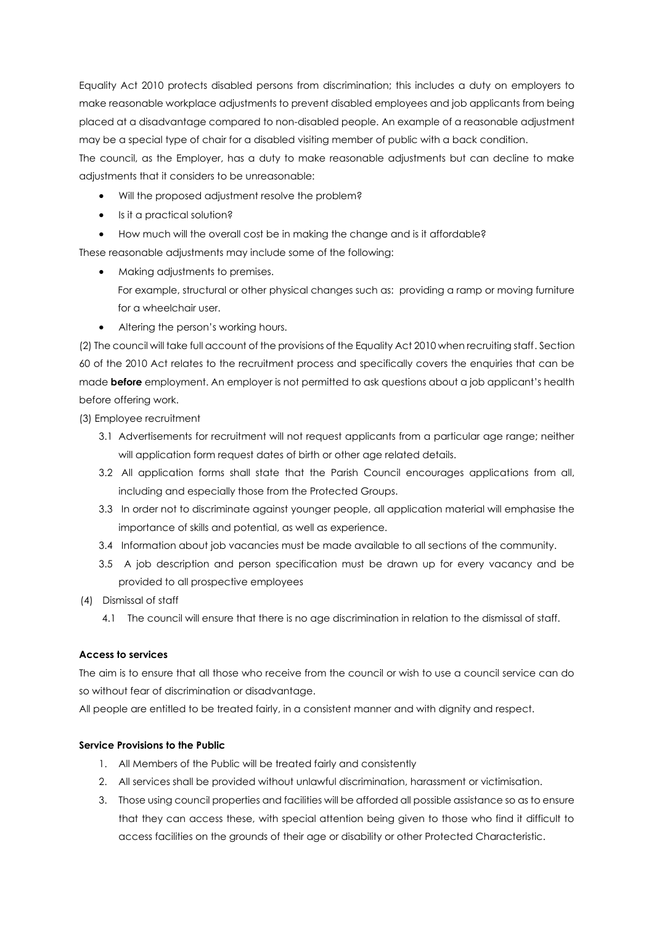Equality Act 2010 protects disabled persons from discrimination; this includes a duty on employers to make reasonable workplace adjustments to prevent disabled employees and job applicants from being placed at a disadvantage compared to non-disabled people. An example of a reasonable adjustment may be a special type of chair for a disabled visiting member of public with a back condition. The council, as the Employer, has a duty to make reasonable adjustments but can decline to make

adjustments that it considers to be unreasonable:

- Will the proposed adjustment resolve the problem?
- Is it a practical solution?
- How much will the overall cost be in making the change and is it affordable?

These reasonable adjustments may include some of the following:

- Making adjustments to premises.
	- For example, structural or other physical changes such as: providing a ramp or moving furniture for a wheelchair user.
- Altering the person's working hours.

(2) The council will take full account of the provisions of the Equality Act 2010 when recruiting staff. Section 60 of the 2010 Act relates to the recruitment process and specifically covers the enquiries that can be made **before** employment. An employer is not permitted to ask questions about a job applicant's health before offering work.

(3) Employee recruitment

- 3.1 Advertisements for recruitment will not request applicants from a particular age range; neither will application form request dates of birth or other age related details.
- 3.2 All application forms shall state that the Parish Council encourages applications from all, including and especially those from the Protected Groups.
- 3.3 In order not to discriminate against younger people, all application material will emphasise the importance of skills and potential, as well as experience.
- 3.4 Information about job vacancies must be made available to all sections of the community.
- 3.5 A job description and person specification must be drawn up for every vacancy and be provided to all prospective employees
- (4) Dismissal of staff
	- 4.1 The council will ensure that there is no age discrimination in relation to the dismissal of staff.

#### **Access to services**

The aim is to ensure that all those who receive from the council or wish to use a council service can do so without fear of discrimination or disadvantage.

All people are entitled to be treated fairly, in a consistent manner and with dignity and respect.

#### **Service Provisions to the Public**

- 1. All Members of the Public will be treated fairly and consistently
- 2. All services shall be provided without unlawful discrimination, harassment or victimisation.
- 3. Those using council properties and facilities will be afforded all possible assistance so as to ensure that they can access these, with special attention being given to those who find it difficult to access facilities on the grounds of their age or disability or other Protected Characteristic.